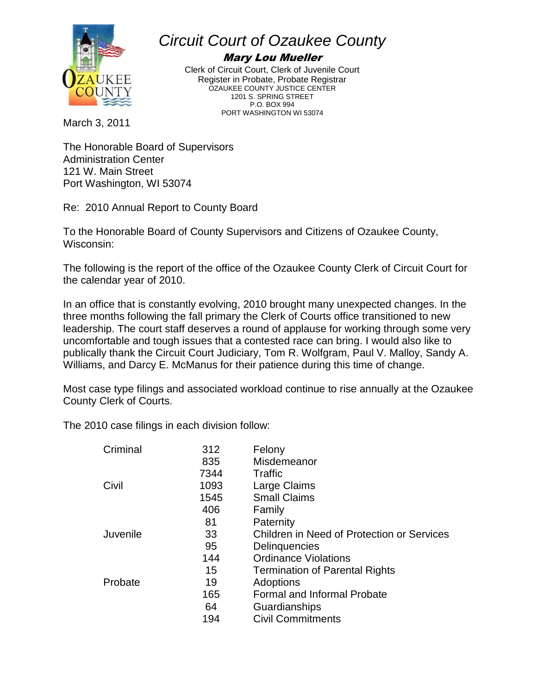

## *Circuit Court of Ozaukee County*

## Mary Lou Mueller

Clerk of Circuit Court, Clerk of Juvenile Court Register in Probate, Probate Registrar OZAUKEE COUNTY JUSTICE CENTER 1201 S. SPRING STREET P.O. BOX 994 PORT WASHINGTON WI 53074

March 3, 2011

The Honorable Board of Supervisors Administration Center 121 W. Main Street Port Washington, WI 53074

Re: 2010 Annual Report to County Board

To the Honorable Board of County Supervisors and Citizens of Ozaukee County, Wisconsin:

The following is the report of the office of the Ozaukee County Clerk of Circuit Court for the calendar year of 2010.

In an office that is constantly evolving, 2010 brought many unexpected changes. In the three months following the fall primary the Clerk of Courts office transitioned to new leadership. The court staff deserves a round of applause for working through some very uncomfortable and tough issues that a contested race can bring. I would also like to publically thank the Circuit Court Judiciary, Tom R. Wolfgram, Paul V. Malloy, Sandy A. Williams, and Darcy E. McManus for their patience during this time of change.

Most case type filings and associated workload continue to rise annually at the Ozaukee County Clerk of Courts.

The 2010 case filings in each division follow:

| Criminal | 312  | Felony                                     |
|----------|------|--------------------------------------------|
|          | 835  | Misdemeanor                                |
|          | 7344 | Traffic                                    |
| Civil    | 1093 | Large Claims                               |
|          | 1545 | <b>Small Claims</b>                        |
|          | 406  | Family                                     |
|          | 81   | Paternity                                  |
| Juvenile | 33   | Children in Need of Protection or Services |
|          | 95   | Delinquencies                              |
|          | 144  | <b>Ordinance Violations</b>                |
|          | 15   | <b>Termination of Parental Rights</b>      |
| Probate  | 19   | Adoptions                                  |
|          | 165  | <b>Formal and Informal Probate</b>         |
|          | 64   | Guardianships                              |
|          | 194  | <b>Civil Commitments</b>                   |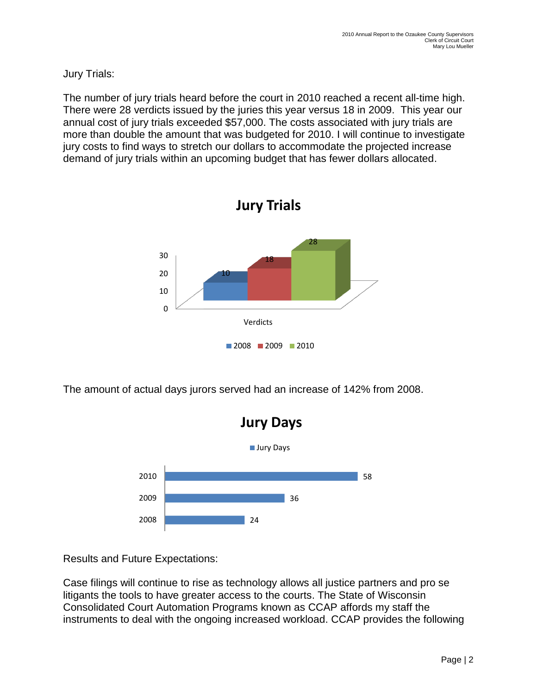Jury Trials:

The number of jury trials heard before the court in 2010 reached a recent all-time high. There were 28 verdicts issued by the juries this year versus 18 in 2009. This year our annual cost of jury trials exceeded \$57,000. The costs associated with jury trials are more than double the amount that was budgeted for 2010. I will continue to investigate jury costs to find ways to stretch our dollars to accommodate the projected increase demand of jury trials within an upcoming budget that has fewer dollars allocated.



The amount of actual days jurors served had an increase of 142% from 2008.



Results and Future Expectations:

Case filings will continue to rise as technology allows all justice partners and pro se litigants the tools to have greater access to the courts. The State of Wisconsin Consolidated Court Automation Programs known as CCAP affords my staff the instruments to deal with the ongoing increased workload. CCAP provides the following